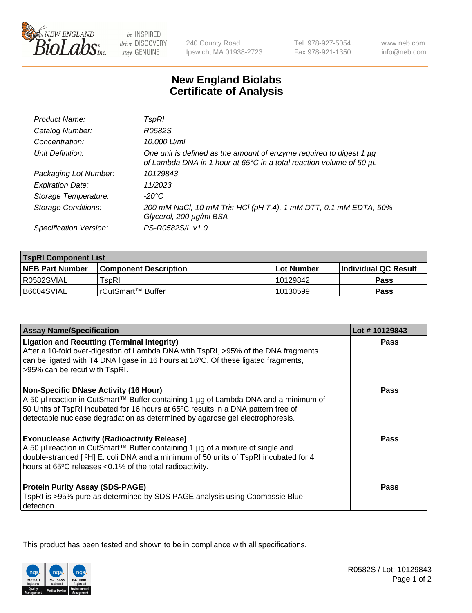

be INSPIRED drive DISCOVERY stay GENUINE

240 County Road Ipswich, MA 01938-2723 Tel 978-927-5054 Fax 978-921-1350

www.neb.com info@neb.com

## **New England Biolabs Certificate of Analysis**

| Product Name:              | TspRI                                                                                                                                            |
|----------------------------|--------------------------------------------------------------------------------------------------------------------------------------------------|
| Catalog Number:            | R0582S                                                                                                                                           |
| Concentration:             | 10,000 U/ml                                                                                                                                      |
| Unit Definition:           | One unit is defined as the amount of enzyme required to digest 1 $\mu$ g<br>of Lambda DNA in 1 hour at 65°C in a total reaction volume of 50 µl. |
| Packaging Lot Number:      | 10129843                                                                                                                                         |
| <b>Expiration Date:</b>    | 11/2023                                                                                                                                          |
| Storage Temperature:       | $-20^{\circ}$ C                                                                                                                                  |
| <b>Storage Conditions:</b> | 200 mM NaCl, 10 mM Tris-HCl (pH 7.4), 1 mM DTT, 0.1 mM EDTA, 50%<br>Glycerol, 200 µg/ml BSA                                                      |
| Specification Version:     | PS-R0582S/L v1.0                                                                                                                                 |

| <b>TspRI Component List</b> |                                                                    |             |                             |  |
|-----------------------------|--------------------------------------------------------------------|-------------|-----------------------------|--|
| <b>NEB Part Number</b>      | l Component Description                                            | ⊺Lot Number | <b>Individual QC Result</b> |  |
| I R0582SVIAL                | $\mathsf{^{\mathsf{T}}\mathsf{s}\mathsf{o}\mathsf{R}\mathsf{l}}$ . | 10129842    | Pass                        |  |
| B6004SVIAL                  | !rCutSmart™ Buffer_                                                | 10130599    | Pass                        |  |

| <b>Assay Name/Specification</b>                                                                                                                                                                                                                                                                           | Lot #10129843 |
|-----------------------------------------------------------------------------------------------------------------------------------------------------------------------------------------------------------------------------------------------------------------------------------------------------------|---------------|
| <b>Ligation and Recutting (Terminal Integrity)</b><br>After a 10-fold over-digestion of Lambda DNA with TspRI, >95% of the DNA fragments<br>can be ligated with T4 DNA ligase in 16 hours at 16°C. Of these ligated fragments,<br>>95% can be recut with TspRI.                                           | Pass          |
| <b>Non-Specific DNase Activity (16 Hour)</b><br>A 50 µl reaction in CutSmart™ Buffer containing 1 µg of Lambda DNA and a minimum of<br>50 Units of TspRI incubated for 16 hours at 65°C results in a DNA pattern free of<br>detectable nuclease degradation as determined by agarose gel electrophoresis. | <b>Pass</b>   |
| <b>Exonuclease Activity (Radioactivity Release)</b><br>A 50 µl reaction in CutSmart™ Buffer containing 1 µg of a mixture of single and<br>double-stranded [3H] E. coli DNA and a minimum of 50 units of TspRI incubated for 4<br>hours at 65°C releases <0.1% of the total radioactivity.                 | Pass          |
| <b>Protein Purity Assay (SDS-PAGE)</b><br>TspRI is >95% pure as determined by SDS PAGE analysis using Coomassie Blue<br>detection.                                                                                                                                                                        | <b>Pass</b>   |

This product has been tested and shown to be in compliance with all specifications.